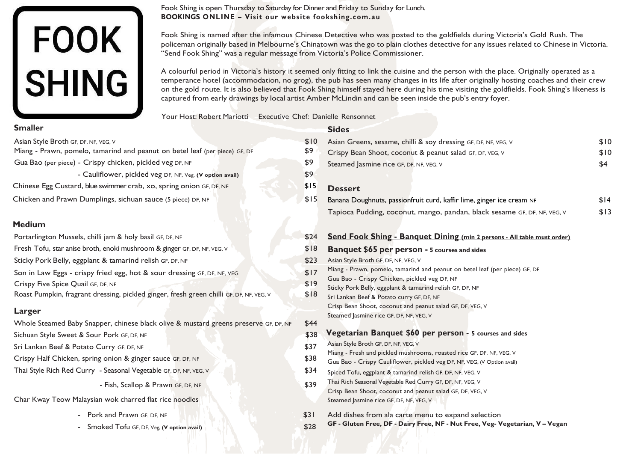# FOOK<br>SHING

Fook Shing is open Thursday to Saturday for Dinner and Friday to Sunday for Lunch. **BOOKINGS ONLINE – Visit our website fookshing.com.au** 

Fook Shing is named after the infamous Chinese Detective who was posted to the goldfields during Victoria's Gold Rush. The policeman originally based in Melbourne's Chinatown was the go to plain clothes detective for any issues related to Chinese in Victoria. "Send Fook Shing" was a regular message from Victoria's Police Commissioner.

A colourful period in Victoria's history it seemed only fitting to link the cuisine and the person with the place. Originally operated as a temperance hotel (accommodation, no grog), the pub has seen many changes in its life after originally hosting coaches and their crew on the gold route. It is also believed that Fook Shing himself stayed here during his time visiting the goldfields. Fook Shing's likeness is captured from early drawings by local artist Amber McLindin and can be seen inside the pub's entry foyer.

Your Host: Robert Mariotti Executive Chef: Danielle Rensonnet

# **Sides**

- 
- Crispy Bean Shoot, coconut & peanut salad GF, DF
- Steamed Jasmine rice GF, DF, NF, VEG, V

Chinese Egg Custard, blue swimmer crab, xo, spring onion GF, DF, NF

- Pork and Prawn GF, DF, NF \$31
- Smoked Tofu GF, DF, Veg, **(V option avail)** \$28

# **Dessert**

Tapioca Pudding, coconut, mango, pandan, blac

| NF, VEG, V | \$10 |
|------------|------|
| , VEG, V   | \$10 |
|            | \$4  |

| iger ice cream NF            | \$14 |
|------------------------------|------|
| k sesame GF, DF, NF, VEG, V: | \$13 |

# **Smaller** Asian Style Broth GF, DF, NF, VEG, V 6. 1999 Asian Greens, sesame, chilli & soy dressing GF, DF, Miang - Prawn, pomelo, tamarind and peanut on betel leaf (per piece) GF, DF Gua Bao (per piece) - Crispy chicken, pickled veg DF, NF - Cauliflower, pickled veg DF, NF, Veg, **(V option avail)**  \$9 \$9 \$9 \$15 Chicken and Prawn Dumplings, sichuan sauce (5 piece) DF, NF **1989 State Constant State Constant State Constant State Constant State Constant State Constant Occupance Chicken and Prawn Dumplings, sichuan sauce (5 piece) DF, Medium** Portarlington Mussels, chilli jam & holy basil GF, DF, NF \$24 **Send Fook Shing - Banquet Dining (min 2 persons - All table must order)** Fresh Tofu, star anise broth, enoki mushroom & ginger GF, DF, NF, VEG, <sup>V</sup> \$18 **Banquet \$65 per person - <sup>5</sup> courses and sides** Sticky Pork Belly, eggplant & tamarind relish GF, DF, NF **\$23** Asian Style Broth GF, DF, NF, VEG, V Son in Law Eggs - crispy fried egg, hot & sour dressing GF, DF, NF, VEG \$17 \$19 \$18 Whole Steamed Baby Snapper, chinese black olive & mustard greens preserve GF, DF, NF \$44 Sichuan Style Sweet & Sour Pork GF, DF, NF \$38 Sri Lankan Beef & Potato Curry GF, DF, NF \$37 Crispy Half Chicken, spring onion & ginger sauce GF, DF, NF  $$38$ Thai Style Rich Red Curry - Seasonal Vegetable GF, DF, NF, VEG, V \$34 - Fish, Scallop & Prawn GF, DF, NF \$39 Char Kway Teow Malaysian wok charred flat rice noodles

Crispy Five Spice Quail GF, DF, NF

Roast Pumpkin, fragrant dressing, pickled ginger, fresh green chilli GF, DF, NF, VEG, V

# **Larger**

- 
- Miang Prawn, pomelo, tamarind and peanut on betel leaf (per piece) GF, DF
- Gua Bao Crispy Chicken, pickled veg DF, NF
- Sticky Pork Belly, eggplant & tamarind relish GF, DF, NF

Sri Lankan Beef & Potato curry GF, DF, NF Crisp Bean Shoot, coconut and peanut salad GF, DF, VEG, V Steamed Jasmine rice GF, DF, NF, VEG, V

# **Vegetarian Banquet \$60 per person - 5 courses and sides**

- Asian Style Broth GF, DF, NF, VEG, V
- Miang Fresh and pickled mushrooms, roasted rice GF, DF, NF, VEG, V
- Gua Bao Crispy Cauliflower, pickled veg DF, NF, VEG, (V Option avail)
- Spiced Tofu, eggplant & tamarind relish GF, DF, NF, VEG, V
- Thai Rich Seasonal Vegetable Red Curry GF, DF, NF, VEG, V Crisp Bean Shoot, coconut and peanut salad GF, DF, VEG, V Steamed Jasmine rice GF, DF, NF, VEG, V
- Add dishes from ala carte menu to expand selection
- **GF - Gluten Free, DF - Dairy Free, NF - Nut Free, Veg- Vegetarian, V – Vegan** 
	-